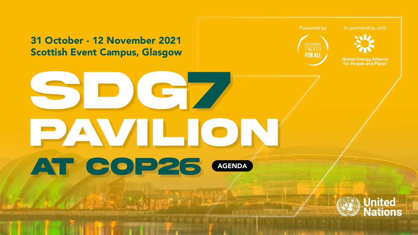# **SDG7 Pavilion at cop26** AGENDA







#### Powered by In partnership with



#### **Global Energy Alliance** for People and Planet



31 October - 12 November 2021 Scottish Event Campus, Glasgow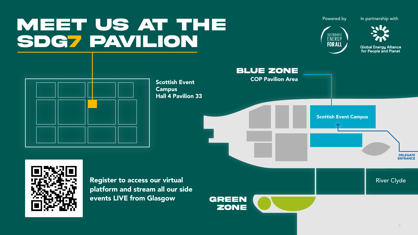# **MEET US AT THE SDG7 PAVILION**



#### Scottish Event Campus

## River Clyde

**Campus** Hall 4 Pavilion 33





Powered by In partnership with



**Global Energy Alliance<br>for People and Planet** 







[Register to access our virtual](https://webapp.spotme.com/welcome/secaa21)  [platform and stream all our side](https://webapp.spotme.com/welcome/secaa21)  [events LIVE from Glasgow](https://webapp.spotme.com/welcome/secaa21)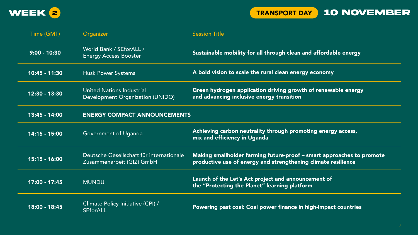| Time (GMT)     | Organizer                                                                   | <b>Session Title</b>                                                                                                             |
|----------------|-----------------------------------------------------------------------------|----------------------------------------------------------------------------------------------------------------------------------|
| $9:00 - 10:30$ | World Bank / SEforALL /<br><b>Energy Access Booster</b>                     | Sustainable mobility for all through clean and affordable energy                                                                 |
| 10:45 - 11:30  | <b>Husk Power Systems</b>                                                   | A bold vision to scale the rural clean energy economy                                                                            |
| 12:30 - 13:30  | <b>United Nations Industrial</b><br><b>Development Organization (UNIDO)</b> | Green hydrogen application driving growth of renewable energy<br>and advancing inclusive energy transition                       |
| 13:45 - 14:00  | <b>ENERGY COMPACT ANNOUNCEMENTS</b>                                         |                                                                                                                                  |
| 14:15 - 15:00  | Government of Uganda                                                        | Achieving carbon neutrality through promoting energy access,<br>mix and efficiency in Uganda                                     |
| 15:15 - 16:00  | Deutsche Gesellschaft für internationale<br>Zusammenarbeit (GIZ) GmbH       | Making smallholder farming future-proof – smart approaches to p<br>productive use of energy and strengthening climate resilience |
| 17:00 - 17:45  | <b>MUNDU</b>                                                                | Launch of the Let's Act project and announcement of<br>the "Protecting the Planet" learning platform                             |
| 18:00 - 18:45  | Climate Policy Initiative (CPI) /<br><b>SEforALL</b>                        | Powering past coal: Coal power finance in high-impact countries                                                                  |



art approaches to promote nductive use of energy and imate resilience



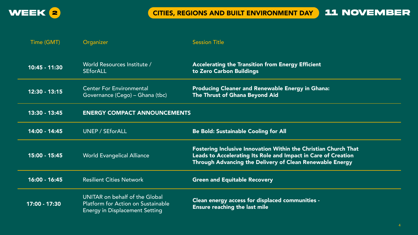| Time (GMT)      | Organizer                                                                                                            | <b>Session Title</b>                                                                                                                                                             |
|-----------------|----------------------------------------------------------------------------------------------------------------------|----------------------------------------------------------------------------------------------------------------------------------------------------------------------------------|
| 10:45 - 11:30   | World Resources Institute /<br><b>SEforALL</b>                                                                       | <b>Accelerating the Transition from Energy Efficient</b><br>to Zero Carbon Buildings                                                                                             |
| $12:30 - 13:15$ | <b>Center For Environmental</b><br>Governance (Cego) – Ghana (tbc)                                                   | <b>Producing Cleaner and Renewable Energy in Ghana:</b><br>The Thrust of Ghana Beyond Aid                                                                                        |
| 13:30 - 13:45   | <b>ENERGY COMPACT ANNOUNCEMENTS</b>                                                                                  |                                                                                                                                                                                  |
| 14:00 - 14:45   | UNEP / SEforALL                                                                                                      | <b>Be Bold: Sustainable Cooling for All</b>                                                                                                                                      |
| 15:00 - 15:45   | <b>World Evangelical Alliance</b>                                                                                    | <b>Fostering Inclusive Innovation Within the Christian C</b><br>Leads to Accelerating Its Role and Impact in Care of<br><b>Through Advancing the Delivery of Clean Renewable</b> |
| 16:00 - 16:45   | <b>Resilient Cities Network</b>                                                                                      | <b>Green and Equitable Recovery</b>                                                                                                                                              |
| 17:00 - 17:30   | UNITAR on behalf of the Global<br><b>Platform for Action on Sustainable</b><br><b>Energy in Displacement Setting</b> | Clean energy access for displaced communities -<br><b>Ensure reaching the last mile</b>                                                                                          |



stian Church That  $\mathsf{L}$ are of Creation ewable Energy

4